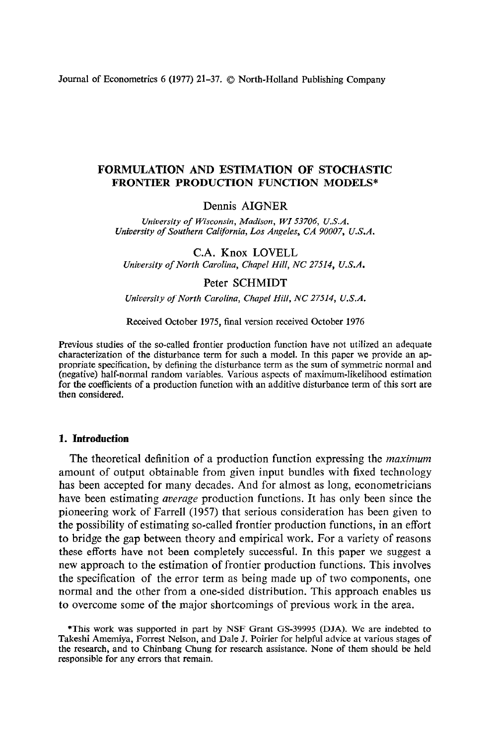Journal of Econometrics 6 (1977) 21–37. © North-Holland Publishing Company

# **FORMULATION AND ESTIMATION OF STOCHASTIC FRONTIER PRODUCTION FUNCTION MODELS\***

# Dennis AIGNER

*University of Wisconsin, Madison, WI 53706, U.S.A. University of Southern Califbrnia, Los Angeles, CA 90007, U.S.A.* 

C.A. Knox LOVELL *University of North Carolina, Chapel Hill, NC 27514, U.S.A.* 

### Peter SCHMIDT

*University of North Carolina, Chapel Hill, NC 27514, U.S.A.* 

Received October 1975, final version received October 1976

Previous studies of the so-called frontier production function have not utilized an adequate characterization of the disturbance term for such a model. In this paper we provide an appropriate specification, by defining the disturbance term as the sum of symmetric normal and (negative) half-normal random variables. Various aspects of maximum-likelihood estimation for the coefficients of a production function with an additive disturbance term of this sort are then considered.

### **1. Introduction**

The theoretical definition of a production function expressing the *maximum*  amount of output obtainable from given input bundles with fixed technology has been accepted for many decades. And for almost as long, econometricians have been estimating *average* production functions. It has only been since the pioneering work of Farrell (1957) that serious consideration has been given to the possibility of estimating so-called frontier production functions, in an effort to bridge the gap between theory and empirical work. For a variety of reasons these efforts have not been completely successful. In this paper we suggest a new approach to the estimation of frontier production functions. This involves the specification of the error term as being made up of two components, one normal and the other from a one-sided distribution. This approach enables us to overcome some of the major shortcomings of previous work in the area.

<sup>\*</sup>This work was supported in part by NSF Grant GS-39995 (DJA). We are indebted to Takeshi Amemiya, Forrest Nelson, and Dale J. Poirier for helpful advice at various stages of the research, and to Chinbang Chung for research assistance. None of them should be held responsible for any errors that remain.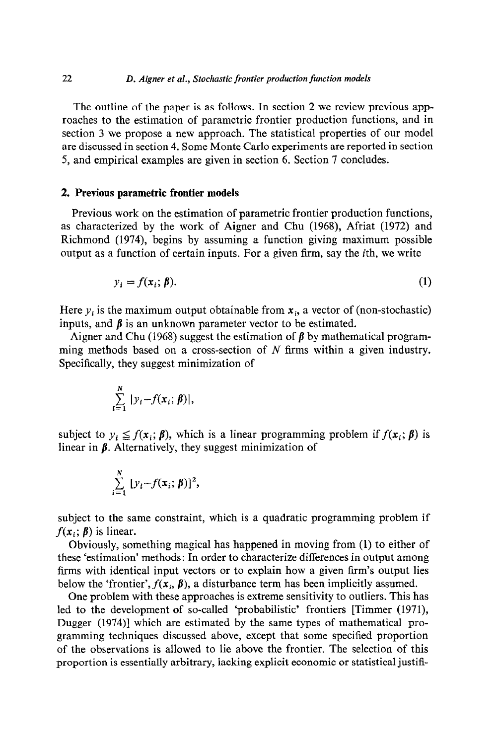The outline of the paper is as follows. In section 2 we review previous approaches to the estimation of parametric frontier production functions, and in section 3 we propose a new approach. The statistical properties of our model are discussed in section 4. Some Monte Carlo experiments are reported in section 5, and empirical examples are given in section 6. Section 7 concludes.

### 2. **Previous parametric frontier models**

**Previous** work on the estimation of parametric frontier production functions, as characterized by the work of Aigner and Chu (1968), Afriat (1972) and Richmond (1974), begins by assuming a function giving maximum possible output as a function of certain inputs. For a given firm, say the ith, we write

$$
y_i = f(x_i; \beta). \tag{1}
$$

Here  $y_i$  is the maximum output obtainable from  $x_i$ , a vector of (non-stochastic) inputs, and  $\beta$  is an unknown parameter vector to be estimated.

Aigner and Chu (1968) suggest the estimation of  $\beta$  by mathematical programming methods based on a cross-section of  $N$  firms within a given industry. Specifically, they suggest minimization of

$$
\sum_{i=1}^N |y_i - f(\mathbf{x}_i; \boldsymbol{\beta})|,
$$

subject to  $y_i \leq f(x_i; \beta)$ , which is a linear programming problem if  $f(x_i; \beta)$  is linear in  $\beta$ . Alternatively, they suggest minimization of

$$
\sum_{i=1}^N [y_i - f(\mathbf{x}_i; \boldsymbol{\beta})]^2,
$$

subject to the same constraint, which is a quadratic programming problem if  $f(x_i; \beta)$  is linear.

Obviously, something magical has happened in moving from (1) to either of these 'estimation' methods: In order to characterize differences in output among firms with identical input vectors or to explain how a given firm's output lies below the 'frontier',  $f(x_i, \beta)$ , a disturbance term has been implicitly assumed.

One problem with these approaches is extreme sensitivity to outliers. This has led to the development of so-called 'probabilistic' frontiers [Timmer (1971), Dugger (1974)] which are estimated by the same types of mathematical programming techniques discussed above, except that some specified proportion of the observations is allowed to lie above the frontier. The selection of this proportion is essentially arbitrary, lacking explicit economic or statistical justifi-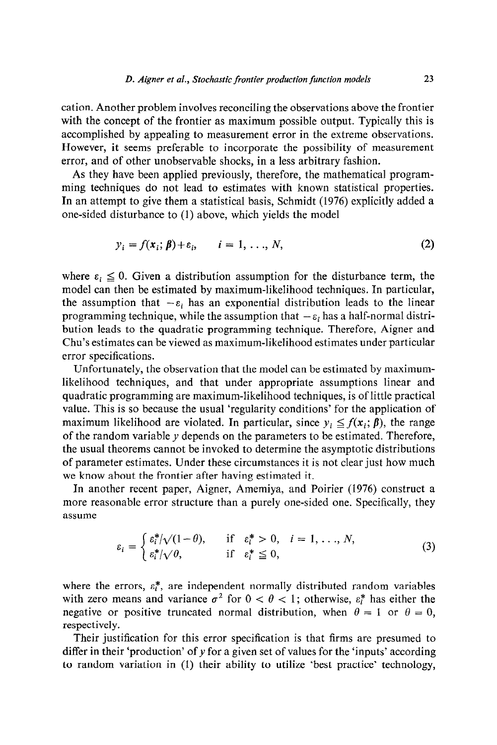cation. Another problem involves reconciling the observations above the frontier with the concept of the frontier as maximum possible output. Typically this is accomplished by appealing to measurement error in the extreme observations. However, it seems preferable to incorporate the possibility of measurement error, and of other unobservable shocks, in a less arbitrary fashion.

As they have been applied previously, therefore, the mathematical programming techniques do not lead to estimates with known statistical properties. In an attempt to give them a statistical basis, Schmidt (1976) explicitly added a one-sided disturbance to (1) above, which yields the model

$$
y_i = f(\mathbf{x}_i; \boldsymbol{\beta}) + \varepsilon_i, \qquad i = 1, \ldots, N,
$$
\n(2)

where  $\varepsilon_i \leq 0$ . Given a distribution assumption for the disturbance term, the model can then be estimated by maximum-likelihood techniques. In particular, the assumption that  $-\varepsilon_i$  has an exponential distribution leads to the linear programming technique, while the assumption that  $-\varepsilon_i$  has a half-normal distribution leads to the quadratic programming technique. Therefore, Aigner and Chu's estimates can be viewed as maximum-likelihood estimates under particular error specifications.

Unfortunately, the observation that the model can be estimated by maximumlikelihood techniques, and that under appropriate assumptions linear and quadratic programming are maximum-likelihood techniques, is of little practical value. This is so because the usual 'regularity conditions' for the application of maximum likelihood are violated. In particular, since  $y_i \leq f(x_i; \beta)$ , the range of the random variable  $y$  depends on the parameters to be estimated. Therefore, the usual theorems cannot be invoked to determine the asymptotic distributions of parameter estimates. Under these circumstances it is not clear just how much we know about the frontier after having estimated it.

In another recent paper, Aigner, Amemiya, and Poirier (1976) construct a more reasonable error structure than a purely one-sided one. Specifically, they assume

$$
\varepsilon_i = \begin{cases} \varepsilon_i^* / \sqrt{(1-\theta)}, & \text{if } \varepsilon_i^* > 0, \quad i = 1, \dots, N, \\ \varepsilon_i^* / \sqrt{\theta}, & \text{if } \varepsilon_i^* \leq 0, \end{cases} \tag{3}
$$

where the errors,  $\varepsilon_i^*$ , are independent normally distributed random variables with zero means and variance  $\sigma^2$  for  $0 < \theta < 1$ ; otherwise,  $\varepsilon_i^*$  has either the negative or positive truncated normal distribution, when  $\theta = 1$  or  $\theta = 0$ , respectively.

Their justification for this error specification is that firms are presumed to differ in their 'production' of y for a given set of values for the 'inputs' according to random variation in (1) their ability to utilize 'best practice' technology,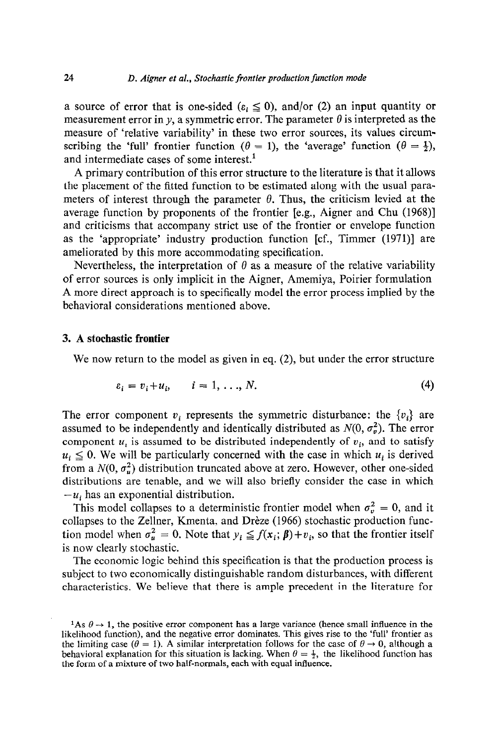a source of error that is one-sided ( $\varepsilon_i \leq 0$ ), and/or (2) an input quantity or measurement error in y, a symmetric error. The parameter  $\theta$  is interpreted as the measure of 'relative variability' in these two error sources, its values circumscribing the 'full' frontier function ( $\theta = 1$ ), the 'average' function ( $\theta = \frac{1}{2}$ ), and intermediate cases of some interest.<sup>1</sup>

A primary contribution of this error structure to the literature is that it allows the placement of the fitted function to be estimated along with the usual parameters of interest through the parameter  $\theta$ . Thus, the criticism levied at the average function by proponents of the frontier [e.g., Aigner and Chu (1968)] and criticisms that accompany strict use of the frontier or envelope function as the 'appropriate' industry production function [cf., Timmer (1971)] are ameliorated by this more accommodating specification.

Nevertheless, the interpretation of  $\theta$  as a measure of the relative variability of error sources is only implicit in the Aigner, Amemiya, Poirier formulation A more direct approach is to specifically model the error process implied by the behavioral considerations mentioned above.

### 3. A **stochastic frontier**

We now return to the model as given in eq.  $(2)$ , but under the error structure

$$
\varepsilon_i = v_i + u_i, \qquad i = 1, \ldots, N. \tag{4}
$$

The error component  $v_i$  represents the symmetric disturbance: the  $\{v_i\}$  are assumed to be independently and identically distributed as  $N(0, \sigma_v^2)$ . The error component  $u_i$  is assumed to be distributed independently of  $v_i$ , and to satisfy  $u_i \leq 0$ . We will be particularly concerned with the case in which  $u_i$  is derived from a  $N(0, \sigma_v^2)$  distribution truncated above at zero. However, other one-sided distributions are tenable, and we will also briefly consider the case in which  $-u_i$  has an exponential distribution.

This model collapses to a deterministic frontier model when  $\sigma_v^2 = 0$ , and it collapses to the Zellner, Kmenta, and Drèze (1966) stochastic production function model when  $\sigma_u^2 = 0$ . Note that  $y_i \leq f(x_i; \beta) + v_i$ , so that the frontier itself is now clearly stochastic.

**The** economic logic behind this specification is that the production process is subject to two economically distinguishable random disturbances, with different characteristics. **We** believe that there is ample precedent in the literature for

 $\frac{1}{1}$ As  $\theta \rightarrow 1$ , the positive error component has a large variance (hence small influence in the likelihood function), and the negative error dominates. This gives rise to the 'full' frontier as the limiting case ( $\theta = 1$ ). A similar interpretation follows for the case of  $\theta \rightarrow 0$ , although a behavioral explanation for this situation is lacking. When  $\theta = \frac{1}{2}$ , the likelihood function has the form of a mixture of two half-normals, each with equal influence.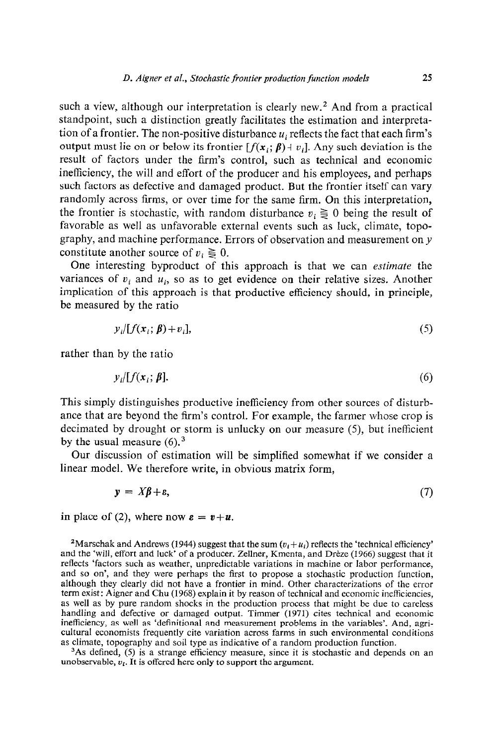such a view, although our interpretation is clearly new.<sup>2</sup> And from a practical standpoint, such a distinction greatly facilitates the estimation and interpretation of a frontier. The non-positive disturbance  $u_i$  reflects the fact that each firm's output must lie on or below its frontier  $[f(x_i; \beta) + v_i]$ . Any such deviation is the result of factors under the firm's control, such as technical and economic inefficiency, the will and effort of the producer and his employees, and perhaps such factors as defective and damaged product. But the frontier itself can vary randomly across firms, or over time for the same firm. On this interpretation, the frontier is stochastic, with random disturbance  $v_i \geq 0$  being the result of favorable as well as unfavorable external events such as luck, climate, topography, and machine performance. Errors of observation and measurement on y constitute another source of  $v_i \geq 0$ .

One interesting byproduct of this approach is that we can *estimate* the variances of  $v_i$  and  $u_i$ , so as to get evidence on their relative sizes. Another implication of this approach is that productive efficiency should, in principle, be measured by the ratio

$$
y_i[f(x_i; \beta) + v_i], \tag{5}
$$

rather than by the ratio

$$
y_i/[f(\mathbf{x}_i;\boldsymbol{\beta}). \tag{6}
$$

This simply distinguishes productive inefficiency from other sources of disturbance that are beyond the firm's control. For example, the farmer whose crop is decimated by drought or storm is unlucky on our measure (5), but inefficient by the usual measure  $(6)$ .<sup>3</sup>

Our discussion of estimation will be simplified somewhat if we consider a linear model. We therefore write, in obvious matrix form,

$$
y = X\beta + \varepsilon,\tag{7}
$$

in place of (2), where now  $\mathbf{\varepsilon} = \mathbf{v} + \mathbf{u}$ .

<sup>2</sup>Marschak and Andrews (1944) suggest that the sum  $(v_i + u_i)$  reflects the 'technical efficiency' and the 'will, effort and luck' of a producer. Zellner, Kmenta, and Dreze (1966) suggest that it reflects 'factors such as weather, unpredictable variations in machine or labor performance, and so on', and they were perhaps the first to propose a stochastic production function, although they clearly did not have a frontier in mind. Other characterizations of the error term exist: Aigner and Chu (1968) explain it by reason of technical and economic inefficiencies, as well as by pure random shocks in the production process that might be due to careless handling and defective or damaged output. Timmer (1971) cites technical and economic inefficiency, as well as 'definitional and measurement problems in the variables'. And, agricultural economists frequently cite variation across farms in such environmental conditions as climate, topography and soil type as indicative of a random production function.

<sup>3</sup>As defined, (5) is a strange efficiency measure, since it is stochastic and depends on an unobservable,  $v_i$ . It is offered here only to support the argument.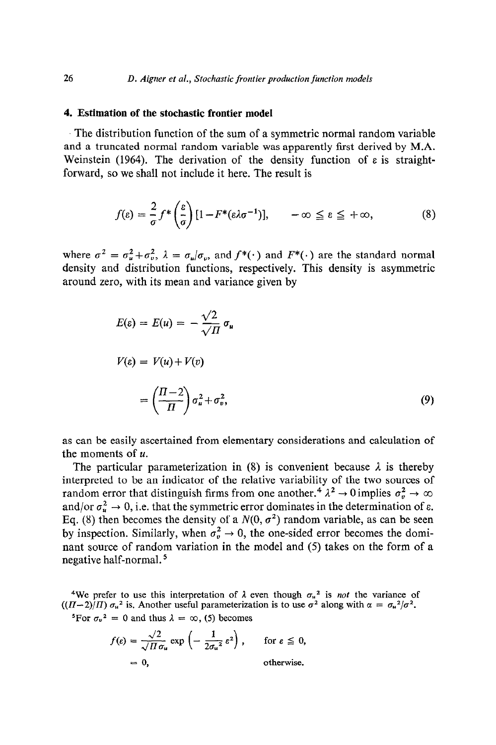#### **4. Estimation of the stochastic frontier model**

The distribution function of the sum of a symmetric normal random variable and a truncated normal random variable was apparently first derived by M.A. Weinstein (1964). The derivation of the density function of  $\varepsilon$  is straightforward, so we shall not include it here. The result is

$$
f(\varepsilon) = \frac{2}{\sigma} f^* \left( \frac{\varepsilon}{\sigma} \right) [1 - F^* (\varepsilon \lambda \sigma^{-1})], \quad -\infty \leq \varepsilon \leq +\infty,
$$
 (8)

where  $\sigma^2 = \sigma_u^2 + \sigma_v^2$ ,  $\lambda = \sigma_u/\sigma_v$ , and  $f^*(\cdot)$  and  $F^*(\cdot)$  are the standard normal density and distribution functions, respectively. This density is asymmetric around zero, with its mean and variance given by

$$
E(\varepsilon) = E(u) = -\frac{\sqrt{2}}{\sqrt{\Pi}} \sigma_u
$$
  

$$
V(\varepsilon) = V(u) + V(v)
$$
  

$$
= \left(\frac{\Pi - 2}{\Pi}\right) \sigma_u^2 + \sigma_v^2,
$$
 (9)

as can be easily ascertained from elementary considerations and calculation of the moments of  $u$ .

The particular parameterization in (8) is convenient because  $\lambda$  is thereby interpreted to be an indicator of the relative variability of the two sources of random error that distinguish firms from one another.<sup>4</sup>  $\lambda^2 \rightarrow 0$  implies  $\sigma_v^2 \rightarrow \infty$ and/or  $\sigma_u^2 \to 0$ , i.e. that the symmetric error dominates in the determination of  $\varepsilon$ . Eq. (8) then becomes the density of a  $N(0, \sigma^2)$  random variable, as can be seen by inspection. Similarly, when  $\sigma_v^2 \to 0$ , the one-sided error becomes the dominant source of random variation in the model and (5) takes on the form of a negative half-normal. 5

We prefer to use this interpretation of  $\lambda$  even though  $\sigma_u^2$  is *not* the variance of  $((\Pi - 2)/\Pi) \sigma_u^2$  is. Another useful parameterization is to use  $\sigma^2$  along with  $\alpha = \sigma_u^2/\sigma^2$ .

<sup>5</sup>For  $\sigma_v^2 = 0$  and thus  $\lambda = \infty$ , (5) becomes

$$
f(\varepsilon) = \frac{\sqrt{2}}{\sqrt{H}\sigma_u} \exp\left(-\frac{1}{2\sigma_u^2}\varepsilon^2\right), \quad \text{for } \varepsilon \leq 0,
$$
  
= 0, otherwise.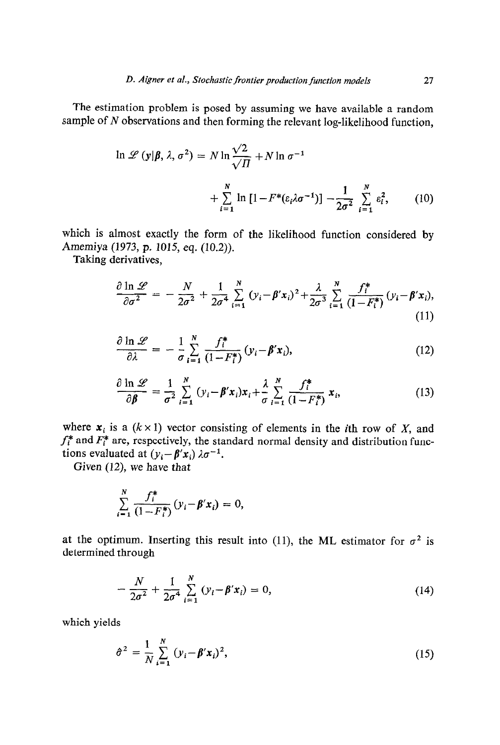The estimation problem is posed by assuming we have available a random sample of N observations and then forming the relevant log-likelihood function,

$$
\ln \mathcal{L}(\mathbf{y}|\boldsymbol{\beta}, \lambda, \sigma^2) = N \ln \frac{\sqrt{2}}{\sqrt{\Pi}} + N \ln \sigma^{-1}
$$

$$
+ \sum_{i=1}^N \ln \left[1 - F^*(\varepsilon_i \lambda \sigma^{-1})\right] - \frac{1}{2\sigma^2} \sum_{i=1}^N \varepsilon_i^2, \qquad (10)
$$

which is almost exactly the form of the likelihood function considered by Amemiya (1973, p. 1015, eq. (10.2)).

Taking derivatives,

$$
\frac{\partial \ln \mathscr{L}}{\partial \sigma^2} = -\frac{N}{2\sigma^2} + \frac{1}{2\sigma^4} \sum_{i=1}^N (y_i - \beta' x_i)^2 + \frac{\lambda}{2\sigma^3} \sum_{i=1}^N \frac{f_i^*}{(1 - F_i^*)} (y_i - \beta' x_i),\tag{11}
$$

$$
\frac{\partial \ln \mathscr{L}}{\partial \lambda} = -\frac{1}{\sigma} \sum_{i=1}^{N} \frac{f_i^*}{(1 - F_i^*)} (y_i - \beta' x_i), \qquad (12)
$$

$$
\frac{\partial \ln \mathscr{L}}{\partial \beta} = \frac{1}{\sigma^2} \sum_{i=1}^N (y_i - \beta' x_i) x_i + \frac{\lambda}{\sigma} \sum_{i=1}^N \frac{f_i^*}{(1 - F_i^*)} x_i,
$$
(13)

where  $x_i$  is a  $(k \times 1)$  vector consisting of elements in the *i*th row of X, and  $f_i^*$  and  $F_i^*$  are, respectively, the standard normal density and distribution functions evaluated at  $(y_i - \beta' x_i) \lambda \sigma^{-1}$ .

Given (12), we have that

$$
\sum_{i=1}^{N} \frac{f_i^*}{(1 - F_i^*)} (y_i - \beta' x_i) = 0,
$$

at the optimum. Inserting this result into (11), the ML estimator for  $\sigma^2$  is determined through

$$
-\frac{N}{2\sigma^2} + \frac{1}{2\sigma^4} \sum_{i=1}^{N} (y_i - \beta' x_i) = 0,
$$
 (14)

which yields

$$
\hat{\sigma}^2 = \frac{1}{N} \sum_{i=1}^{N} (y_i - \beta' x_i)^2,
$$
 (15)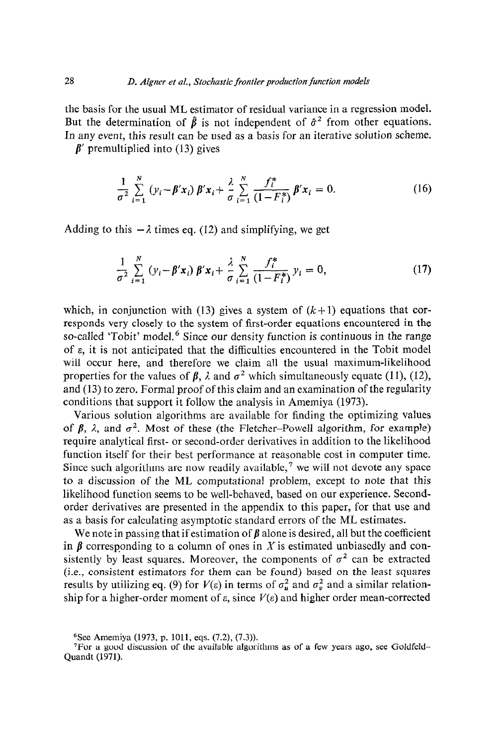the basis for the usual ML estimator of residual variance in a regression model. But the determination of  $\hat{\beta}$  is not independent of  $\hat{\sigma}^2$  from other equations. In any event, this result can be used as a basis for an iterative solution scheme.

 $\beta'$  premultiplied into (13) gives

$$
\frac{1}{\sigma^2} \sum_{i=1}^N (y_i - \beta' x_i) \beta' x_i + \frac{\lambda}{\sigma} \sum_{i=1}^N \frac{f_i^*}{(1 - F_i^*)} \beta' x_i = 0.
$$
 (16)

Adding to this  $-\lambda$  times eq. (12) and simplifying, we get

$$
\frac{1}{\sigma^2} \sum_{i=1}^N (y_i - \beta' x_i) \beta' x_i + \frac{\lambda}{\sigma} \sum_{i=1}^N \frac{f_i^*}{(1 - F_i^*)} y_i = 0, \tag{17}
$$

which, in conjunction with (13) gives a system of  $(k+1)$  equations that corresponds very closely to the system of first-order equations encountered in the so-called 'Tobit' model.<sup>6</sup> Since our density function is continuous in the range of  $\varepsilon$ , it is not anticipated that the difficulties encountered in the Tobit model will occur here, and therefore we claim all the usual maximum-likelihood properties for the values of  $\beta$ ,  $\lambda$  and  $\sigma^2$  which simultaneously equate (11), (12), and (13) to zero. Formal proof of this claim and an examination of the regularity conditions that support it follow the analysis in Amemiya (1973).

Various solution algorithms are available for finding the optimizing values of  $\beta$ ,  $\lambda$ , and  $\sigma^2$ . Most of these (the Fletcher-Powell algorithm, for example) require analytical first- or second-order derivatives in addition to the likelihood function itself for their best performance at reasonable cost in computer time. Since such algorithms are now readily available,<sup>7</sup> we will not devote any space to a discussion of the ML computational problem, except to note that this likelihood function seems to be well-behaved, based on our experience. Secondorder derivatives are presented in the appendix to this paper, for that use and as a basis for calculating asymptotic standard errors of the ML estimates.

We note in passing that if estimation of  $\beta$  alone is desired, all but the coefficient in  $\beta$  corresponding to a column of ones in X is estimated unbiasedly and consistently by least squares. Moreover, the components of  $\sigma^2$  can be extracted (i.e., consistent estimators for them can be found) based on the least squares results by utilizing eq. (9) for  $V(\varepsilon)$  in terms of  $\sigma_u^2$  and  $\sigma_v^2$  and a similar relation ship for a higher-order moment of  $\varepsilon$ , since  $V(\varepsilon)$  and higher order mean-correct

<sup>&</sup>lt;sup>6</sup>See Amemiya (1973, p. 1011, eqs. (7.2), (7.3)).

<sup>7</sup>For a good discussion of the available algorithms as of a few years ago. see Goldfeld-Quandt (1971).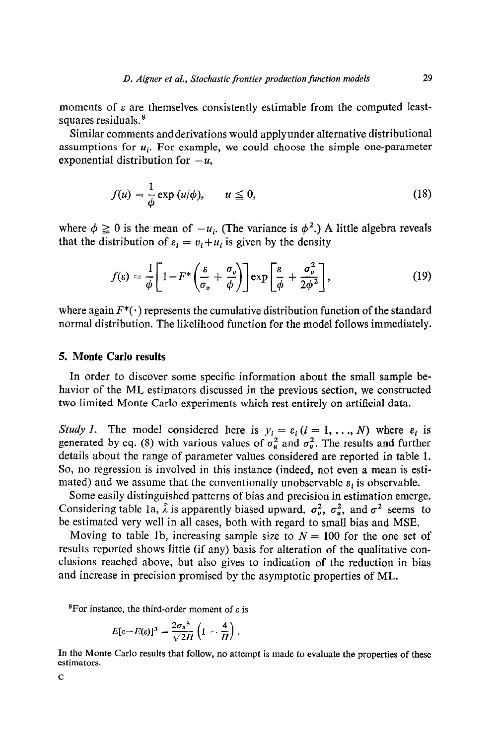moments of  $\varepsilon$  are themselves consistently estimable from the computed leastsquares residuals.<sup>8</sup>

Similar comments andderivations would applyunder alternative distributional assumptions for  $u_i$ . For example, we could choose the simple one-parameter exponential distribution for  $-u$ ,

$$
f(u) = \frac{1}{\phi} \exp(u/\phi), \qquad u \le 0,
$$
 (18)

where  $\phi \ge 0$  is the mean of  $-u_i$ . (The variance is  $\phi^2$ .) A little algebra reveals that the distribution of  $\varepsilon_i = v_i + u_i$  is given by the density

$$
f(\varepsilon) = \frac{1}{\phi} \left[ 1 - F^* \left( \frac{\varepsilon}{\sigma_v} + \frac{\sigma_v}{\phi} \right) \right] \exp \left[ \frac{\varepsilon}{\phi} + \frac{\sigma_v^2}{2\phi^2} \right],\tag{19}
$$

where again  $F^*(\cdot)$  represents the cumulative distribution function of the standard normal distribution. The likelihood function for the model follows immediately.

#### 5. Monte Carlo results

In order to discover some specific information about the small sample behavior of the ML estimators discussed in the previous section, we constructed two limited Monte Carlo experiments which rest entirely on artificial data.

Study 1. The model considered here is  $y_i = \varepsilon_i$   $(i = 1, ..., N)$  where  $\varepsilon_i$  is generated by eq. (8) with various values of  $\sigma_u^2$  and  $\sigma_v^2$ . The results and further details about the range of parameter values considered are reported in table 1. So, no regression is involved in this instance (indeed, not even a mean is estimated) and we assume that the conventionally unobservable  $\varepsilon_i$  is observable.

Some easily distinguished patterns of bias and precision in estimation emerge. Considering table 1a,  $\hat{\lambda}$  is apparently biased upward.  $\sigma_v^2$ ,  $\sigma_u^2$ , and  $\sigma^2$  seems to be estimated very well in all cases, both with regard to small bias and MSE.

Moving to table 1b, increasing sample size to  $N = 100$  for the one set of results reported shows little (if any) basis for alteration of the qualitative conclusions reached above, but also gives to indication of the reduction in bias and increase in precision promised by the asymptotic properties of ML.

<sup>8</sup>For instance, the third-order moment of  $\varepsilon$  is

$$
E[\varepsilon - E(\varepsilon)]^3 = \frac{2\sigma_u^3}{\sqrt{2H}} \left( 1 - \frac{4}{H} \right).
$$

In the Monte Carlo results that follow, no attempt is made to evaluate the properties of these estimators.

C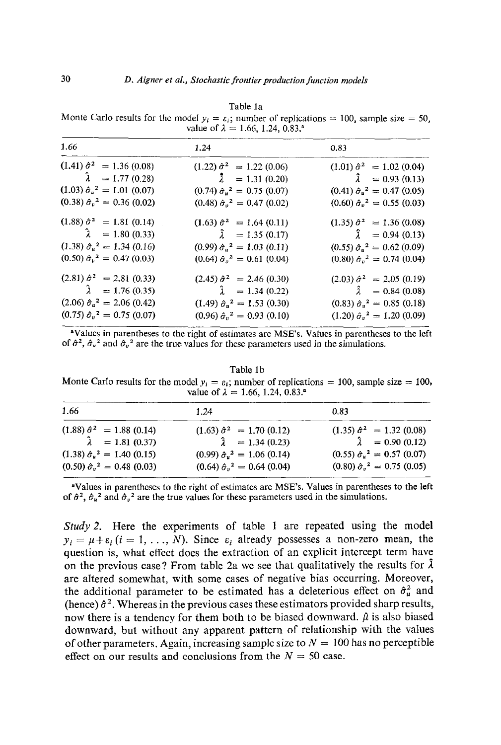| hн<br>я | L |
|---------|---|
|---------|---|

Monte Carlo results for the model  $y_i = \varepsilon_i$ ; number of replications = 100, sample size = 50, value of  $\lambda = 1.66, 1.24, 0.83$ .

| 1.66                                    | 1.24                                    | 0.83                                          |
|-----------------------------------------|-----------------------------------------|-----------------------------------------------|
| $(1.41) \hat{\sigma}^2 = 1.36 (0.08)$   | $(1.22) \hat{\sigma}^2 = 1.22 (0.06)$   | $(1.01) \hat{\sigma}^2 = 1.02 (0.04)$         |
| $\hat{\lambda} = 1.77(0.28)$            | $\lambda$ = 1.31 (0.20)                 | $\lambda = 0.93(0.13)$                        |
| $(1.03) \hat{\sigma}_u^2 = 1.01 (0.07)$ | $(0.74) \hat{\sigma}_u^2 = 0.75 (0.07)$ | $(0.41) \hat{\sigma}_u^2 = 0.47 (0.05)$       |
| $(0.38) \hat{\sigma}_v^2 = 0.36 (0.02)$ | $(0.48) \hat{\sigma}_v^2 = 0.47 (0.02)$ | $(0.60) \hat{\sigma}_v^2 = 0.55 (0.03)$       |
| $(1.88) \hat{\sigma}^2 = 1.81 (0.14)$   | $(1.63) \hat{\sigma}^2 = 1.64 (0.11)$   | $(1.35) \hat{\sigma}^2 = 1.36 (0.08)$         |
| $\lambda = 1.80 (0.33)$                 | $\hat{\lambda} = 1.35(0.17)$            | $\hat{\lambda} = 0.94(0.13)$                  |
| $(1.38) \hat{\sigma}_u^2 = 1.34 (0.16)$ | $(0.99) \hat{\sigma}_u^2 = 1.03 (0.11)$ | $(0.55) \hat{\sigma}_{\mu}^{2} = 0.62 (0.09)$ |
| $(0.50) \hat{\sigma}_v^2 = 0.47 (0.03)$ | $(0.64) \hat{\sigma}_v^2 = 0.61 (0.04)$ | $(0.80) \hat{\sigma}_v^2 = 0.74 (0.04)$       |
| $(2.81) \hat{\sigma}^2 = 2.81 (0.33)$   | $(2.45) \hat{\sigma}^2 = 2.46 (0.30)$   | $(2.03) \hat{\sigma}^2 = 2.05 (0.19)$         |
| $\lambda = 1.76(0.35)$                  | $\hat{\lambda} = 1.34(0.22)$            | $\hat{\lambda} = 0.84(0.08)$                  |
| $(2.06) \hat{\sigma}_u^2 = 2.06 (0.42)$ | $(1.49) \hat{\sigma}_u^2 = 1.53 (0.30)$ | $(0.83) \hat{\sigma}_u^2 = 0.85 (0.18)$       |
| $(0.75) \hat{\sigma}_v^2 = 0.75 (0.07)$ | $(0.96) \hat{\sigma}_v^2 = 0.93 (0.10)$ | $(1.20) \hat{\sigma}_v^2 = 1.20 (0.09)$       |

<sup>a</sup>Values in parentheses to the right of estimates are MSE's. Values in parentheses to the left of  $\hat{\sigma}^2$ ,  $\hat{\sigma}_u^2$  and  $\hat{\sigma}_v^2$  are the true values for these parameters used in the simulations.

Table lb

Monte Carlo results for the model  $y_i = \varepsilon_i$ ; number of replications = 100, sample size = 100, value of  $\lambda = 1.66, 1.24, 0.83$ .<sup>8</sup>

| 1.66                                    | 1.24                                    | 0.83                                    |
|-----------------------------------------|-----------------------------------------|-----------------------------------------|
| $(1.88) \hat{\sigma}^2 = 1.88 (0.14)$   | $(1.63) \hat{\sigma}^2 = 1.70 (0.12)$   | $(1.35) \hat{\sigma}^2 = 1.32 (0.08)$   |
| $\hat{\lambda} = 1.81(0.37)$            | $\hat{\lambda} = 1.34(0.23)$            | $\lambda = 0.90(0.12)$                  |
| $(1.38) \hat{\sigma}_u^2 = 1.40 (0.15)$ | $(0.99) \hat{\sigma}_u^2 = 1.06 (0.14)$ | $(0.55) \hat{\sigma}_u^2 = 0.57 (0.07)$ |
| $(0.50) \hat{\sigma}_n^2 = 0.48 (0.03)$ | $(0.64) \hat{\sigma}_v^2 = 0.64 (0.04)$ | $(0.80) \hat{\sigma}_v^2 = 0.75 (0.05)$ |

<sup>a</sup>Values in parentheses to the right of estimates are MSE's. Values in parentheses to the left of  $\hat{\sigma}^2$ ,  $\hat{\sigma}_u^2$  and  $\hat{\sigma}_v^2$  are the true values for these parameters used in the simulations.

*Study 2.* Here the experiments of table 1 are repeated using the model  $y_i = \mu + \varepsilon_i$  (i = 1, ..., N). Since  $\varepsilon_i$  already possesses a non-zero mean, the question is, what effect does the extraction of an explicit intercept term have on the previous case? From table 2a we see that qualitatively the results for  $\hat{\lambda}$ are altered somewhat, with some cases of negative bias occurring. Moreover, the additional parameter to be estimated has a deleterious effect on  $\hat{\sigma}_u^2$  and (hence)  $\hat{\sigma}^2$ . Whereas in the previous cases these estimators provided sharp results, now there is a tendency for them both to be biased downward.  $\hat{\mu}$  is also biased downward, but without any apparent pattern of relationship with the values of other parameters. Again, increasing sample size to  $N = 100$  has no perceptible effect on our results and conclusions from the  $N = 50$  case.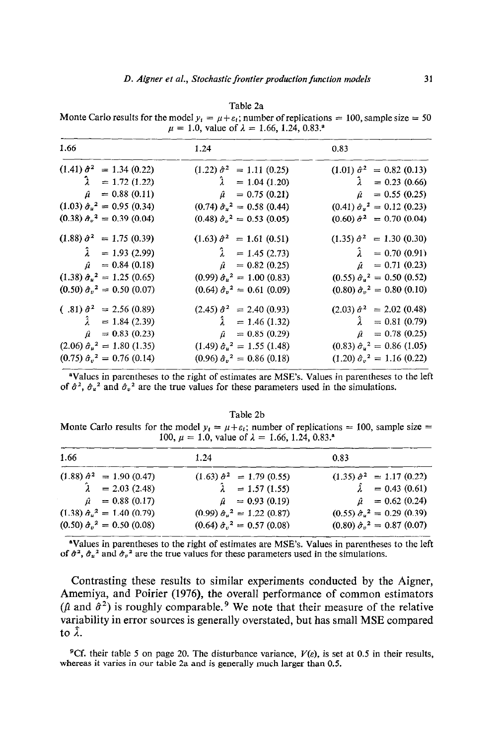| $\mu = 1.0$ , value of $\lambda = 1.00$ , 1.24, 0.63. |                                             |                                         |  |  |  |
|-------------------------------------------------------|---------------------------------------------|-----------------------------------------|--|--|--|
| 1.66                                                  | 1.24                                        | 0.83                                    |  |  |  |
| $(1.41) \hat{\sigma}^2 = 1.34 (0.22)$                 | $(1.22) \hat{\sigma}^2 = 1.11 (0.25)$       | $(1.01) \hat{\sigma}^2 = 0.82 (0.13)$   |  |  |  |
| $\lambda = 1.72$ (1.22)                               | $\lambda = 1.04$ (1.20)                     | $\lambda = 0.23(0.66)$                  |  |  |  |
| $= 0.88(0.11)$<br>û                                   | $\hat{\mu} = 0.75(0.21)$                    | $= 0.55(0.25)$<br>$\hat{\mu}$           |  |  |  |
| $(1.03) \hat{\sigma}_u^2 = 0.95 (0.34)$               | $(0.74) \hat{\sigma}_u^2 = 0.58 (0.44)$     | $(0.41) \hat{\sigma}_u^2 = 0.12 (0.23)$ |  |  |  |
| $(0.38) \hat{\sigma}_v^2 = 0.39 (0.04)$               | $(0.48) \hat{\sigma}_{\nu}^2 = 0.53 (0.05)$ | $(0.60) \hat{\sigma}^2 = 0.70 (0.04)$   |  |  |  |
| $(1.88) \hat{\sigma}^2 = 1.75 (0.39)$                 | $(1.63) \hat{\sigma}^2 = 1.61 (0.51)$       | $(1.35) \hat{\sigma}^2 = 1.30 (0.30)$   |  |  |  |
| Ã.<br>$= 1.93(2.99)$                                  | $\lambda = 1.45(2.73)$                      | $\hat{\lambda} = 0.70 (0.91)$           |  |  |  |
| $= 0.84(0.18)$<br>û                                   | $\hat{\mu} = 0.82$ (0.25)                   | $\hat{\mu} = 0.71(0.23)$                |  |  |  |
| $(1.38) \hat{\sigma}_u^2 = 1.25 (0.65)$               | $(0.99) \hat{\sigma}_u^2 = 1.00 (0.83)$     | $(0.55) \hat{\sigma}_u^2 = 0.50 (0.52)$ |  |  |  |
| $(0.50) \hat{\sigma}_v^2 = 0.50 (0.07)$               | $(0.64) \hat{\sigma}_v^2 = 0.61 (0.09)$     | $(0.80) \hat{\sigma}_v^2 = 0.80 (0.10)$ |  |  |  |
| $(.81) \hat{\sigma}^2 = 2.56 (0.89)$                  | $(2.45) \hat{\sigma}^2 = 2.40 (0.93)$       | $(2.03) \hat{\sigma}^2 = 2.02 (0.48)$   |  |  |  |
| $\hat{\lambda} = 1.84(2.39)$                          | $\hat{\lambda} = 1.46 (1.32)$               | $\hat{\lambda} = 0.81(0.79)$            |  |  |  |
| $= 0.83(0.23)$<br>û                                   | $= 0.85(0.29)$<br>$\hat{\mu}$               | $\hat{\mu} = 0.78(0.25)$                |  |  |  |
| $(2.06) \hat{\sigma}_u^2 = 1.80 (1.35)$               | $(1.49) \hat{\sigma}_u^2 = 1.55 (1.48)$     | $(0.83) \hat{\sigma}_u^2 = 0.86 (1.05)$ |  |  |  |
| $(0.75) \hat{\sigma}_v^2 = 0.76 (0.14)$               | $(0.96) \hat{\sigma}_v^2 = 0.86 (0.18)$     | $(1.20) \hat{\sigma}_v^2 = 1.16 (0.22)$ |  |  |  |

Table 2a Monte Carlo results for the model  $y_i = \mu + \varepsilon_i$ ; number of replications = 100, sample size = 50  $\mu = 1.0$ , value of  $\lambda = 1.66, 1.24, 0.83$ .<sup>8</sup>

<sup>a</sup>Values in parentheses to the right of estimates are MSE's. Values in parentheses to the left of  $\hat{\sigma}^2$ ,  $\hat{\sigma}_u^2$  and  $\hat{\sigma}_v^2$  are the true values for these parameters used in the simulations.

#### Table 2b

Monte Carlo results for the model  $y_t = \mu + \varepsilon_t$ ; number of replications = 100, sample size = 100,  $\mu = 1.0$ , value of  $\lambda = 1.66, 1.24, 0.83$ .

| 1.66                                                      | 1.24                                                      | 0.83                                                      |
|-----------------------------------------------------------|-----------------------------------------------------------|-----------------------------------------------------------|
| $(1.88) \hat{\sigma}^2 = 1.90 (0.47)$                     | $(1.63) \hat{\sigma}^2 = 1.79 (0.55)$                     | $(1.35) \hat{\sigma}^2 = 1.17 (0.22)$                     |
| $\hat{\lambda} = 2.03$ (2.48)<br>$\hat{\mu} = 0.88(0.17)$ | $\hat{\lambda} = 1.57 (1.55)$<br>$\hat{\mu} = 0.93(0.19)$ | $\hat{\lambda} = 0.43(0.61)$<br>$\hat{\mu} = 0.62$ (0.24) |
| $(1.38) \hat{\sigma}_u{}^2 = 1.40 (0.79)$                 | $(0.99) \hat{\sigma}_u^2 = 1.22 (0.87)$                   | $(0.55) \hat{\sigma}_y^2 = 0.29 (0.39)$                   |
| $(0.50) \hat{\sigma}_v^2 = 0.50 (0.08)$                   | $(0.64) \hat{\sigma}_v^2 = 0.57 (0.08)$                   | $(0.80) \hat{\sigma}_v^2 = 0.87 (0.07)$                   |

"Values in parentheses to the right of estimates are MSE's. Values in parentheses to the left of  $\hat{\sigma}^2$ ,  $\hat{\sigma}_u^2$  and  $\hat{\sigma}_v^2$  are the true values for these parameters used in the simulations.

Contrasting these results to similar experiments conducted by the Aigner, Amemiya, and Poirier (1976), the overall performance of common estimators ( $\hat{\mu}$  and  $\hat{\sigma}^2$ ) is roughly comparable.<sup>9</sup> We note that their measure of the relative variability in error sources is generally overstated, but has small MSE compared to  $\hat{\lambda}$ .

<sup>9</sup>Cf. their table 5 on page 20. The disturbance variance,  $V(e)$ , is set at 0.5 in their results, whereas it varies in our table 2a and is generally much larger than 0.5.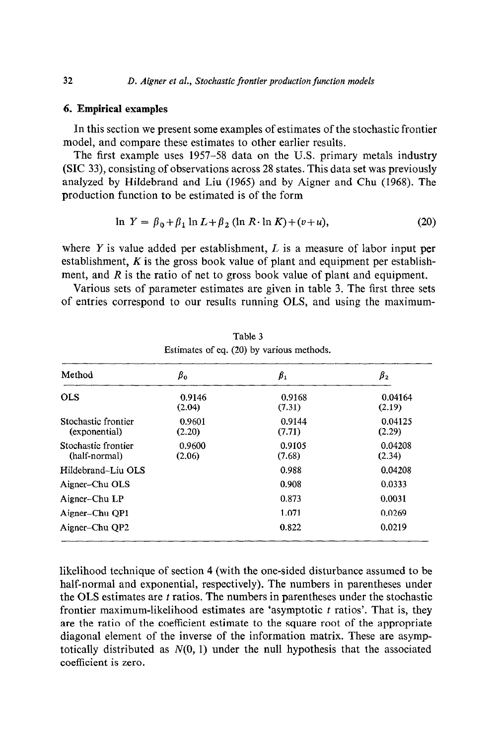#### **6. Empirical examples**

In this section we present some examples of estimates of the stochastic frontier model, and compare these estimates to other earlier results.

The first example uses 1957-58 data on the U.S. primary metals industry (SIC 33), consisting of observations across 28 states. This data set was previously analyzed by Hildebrand and Liu (1965) and by Aigner and Chu (1968). The production function to be estimated is of the form

$$
\ln Y = \beta_0 + \beta_1 \ln L + \beta_2 (\ln R \cdot \ln K) + (v + u), \tag{20}
$$

where Y is value added per establishment,  $L$  is a measure of labor input per establishment, *K* is the gross book value of plant and equipment per establishment, and *R* is the ratio of net to gross book value of plant and equipment.

Various sets of parameter estimates are given in table 3. The first three sets of entries correspond to our results running OLS, and using the maximum-

| Method                               | $\beta_0$        | $\beta_1$        | $\beta_2$         |  |
|--------------------------------------|------------------|------------------|-------------------|--|
| <b>OLS</b>                           | 0.9146<br>(2.04) | 0.9168<br>(7.31) | 0.04164<br>(2.19) |  |
| Stochastic frontier<br>(exponential) | 0.9601<br>(2.20) | 0.9144<br>(7.71) | 0.04125<br>(2.29) |  |
| Stochastic frontier<br>(half-normal) | 0.9600<br>(2.06) | 0.9105<br>(7.68) | 0.04208<br>(2.34) |  |
| Hildebrand-Liu OLS                   |                  | 0.988            | 0.04208           |  |
| Aigner-Chu OLS                       |                  | 0.908            | 0.0333            |  |
| Aigner-Chu LP                        |                  | 0.873            | 0.0031            |  |
| Aigner–Chu QP1                       |                  | 1.071            | 0.0269            |  |
| Aigner-Chu QP2                       |                  | 0.822            | 0.0219            |  |

Table 3 Estimates of eq. (20) by various methods.

likelihood technique of section 4 (with the one-sided disturbance assumed to be half-normal and exponential, respectively). The numbers in parentheses under the OLS estimates are  $t$  ratios. The numbers in parentheses under the stochastic frontier maximum-likelihood estimates are 'asymptotic  $t$  ratios'. That is, they are the ratio of the coefficient estimate to the square root of the appropriate diagonal element of the inverse of the information matrix. These are asymptotically distributed as  $N(0, 1)$  under the null hypothesis that the associated coefficient is zero.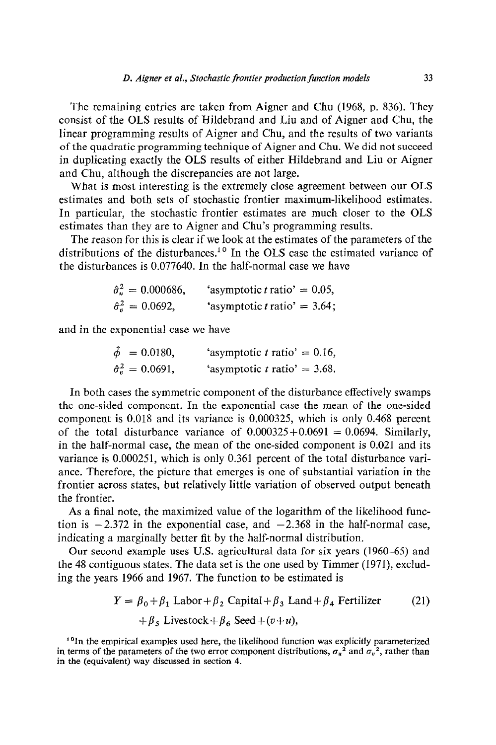The remaining entries are taken from Aigner and Chu (1968, p. 836). They consist of the OLS results of Hildebrand and Liu and of Aigner and Chu, the linear programming results of Aigner and Chu, and the results of two variants of the quadratic programming technique of Aigner and Chu. We did not succeed in duplicating exactly the OLS results of either Hildebrand and Liu or Aigner and Chu, although the discrepancies are not large.

What is most interesting is the extremely close agreement between our OLS estimates and both sets of stochastic frontier maximum-likelihood estimates. In particular, the stochastic frontier estimates are much closer to the OLS estimates than they are to Aigner and Chu's programming results.

The reason for this is clear if we look at the estimates of the parameters of the distributions of the disturbances.<sup>10</sup> In the OLS case the estimated variance of the disturbances is 0.077640. In the half-normal case we have

| $\hat{\sigma}_u^2 = 0.000686,$ | 'asymptotic t ratio' = $0.05$ ,        |  |
|--------------------------------|----------------------------------------|--|
| $\hat{\sigma}_v^2 = 0.0692$ ,  | 'asymptotic <i>t</i> ratio' = $3.64$ ; |  |

and in the exponential case we have

| $\hat{\phi} = 0.0180,$           | 'asymptotic t ratio' = $0.16$ , |  |
|----------------------------------|---------------------------------|--|
| $\hat{\sigma}_{v}^{2} = 0.0691,$ | 'asymptotic t ratio' = $3.68$ . |  |

In both cases the symmetric component of the disturbance effectively swamps the one-sided component. In the exponential case the mean of the one-sided component is 0.018 and its variance is 0.000325, which is only 0.468 percent of the total disturbance variance of  $0.000325+0.0691 = 0.0694$ . Similarly, in the half-normal case, the mean of the one-sided component is 0.021 and its variance is 0.000251, which is only 0.361 percent of the total disturbance variance. Therefore, the picture that emerges is one of substantial variation in the frontier across states, but relatively little variation of observed output beneath the frontier.

As a final note, the maximized value of the logarithm of the likelihood function is  $-2.372$  in the exponential case, and  $-2.368$  in the half-normal case, indicating a marginally better fit by the half-normal distribution.

Our second example uses U.S. agricultural data for six years (1960-65) and the 48 contiguous states. The data set is the one used by Timmer (1971), excluding the years 1966 and 1967. The function to be estimated is

$$
Y = \beta_0 + \beta_1 \text{ Labor} + \beta_2 \text{ Capital} + \beta_3 \text{ Land} + \beta_4 \text{ Fertilizer} \tag{21}
$$

$$
+ \beta_5 \text{ Livestock} + \beta_6 \text{Seed} + (v+u),
$$

<sup>10</sup>In the empirical examples used here, the likelihood function was explicitly parameterized in terms of the parameters of the two error component distributions,  $\sigma_u^2$  and  $\sigma_v^2$ , rather than in the (equivalent) way discussed in section 4.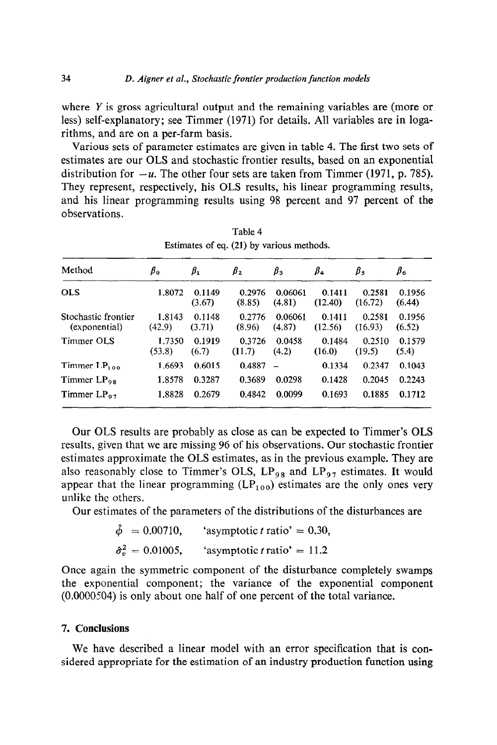where Y is gross agricultural output and the remaining variables are (more or less) self-explanatory; see Timmer (1971) for details. All variables are in logarithms, and are on a per-farm basis.

Various sets of parameter estimates are given in table 4. The first two sets of estimates are our OLS and stochastic frontier results, based on an exponential distribution for  $-u$ . The other four sets are taken from Timmer (1971, p. 785). They represent, respectively, his OLS results, his linear programming results, and his linear programming results using 98 percent and 97 percent of the observations.

| Method                               | $\beta_0$        | $\beta_1$        | $\beta_2$        | $\beta_3$         | $\beta_4$         | $\beta_{5}$       | $\beta_6$        |
|--------------------------------------|------------------|------------------|------------------|-------------------|-------------------|-------------------|------------------|
| <b>OLS</b>                           | 1.8072           | 0.1149<br>(3.67) | 0.2976<br>(8.85) | 0.06061<br>(4.81) | 0.1411<br>(12.40) | 0.2581<br>(16.72) | 0.1956<br>(6.44) |
| Stochastic frontier<br>(exponential) | 1.8143<br>(42.9) | 0.1148<br>(3.71) | 0.2776<br>(8.96) | 0.06061<br>(4.87) | 0.1411<br>(12.56) | 0.2581<br>(16.93) | 0.1956<br>(6.52) |
| Timmer OLS                           | 1.7350<br>(53.8) | 0.1919<br>(6.7)  | 0.3726<br>(11.7) | 0.0458<br>(4.2)   | 0.1484<br>(16.0)  | 0.2510<br>(19.5)  | 0.1579<br>(5.4)  |
| Timmer $LP_{1,0,0}$                  | 1.6693           | 0.6015           | 0.4887           |                   | 0.1334            | 0.2347            | 0.1043           |
| Timmer $LP_{98}$                     | 1.8578           | 0.3287           | 0.3689           | 0.0298            | 0.1428            | 0.2045            | 0.2243           |
| Timmer $LP_{97}$                     | 1.8828           | 0.2679           | 0.4842           | 0.0099            | 0.1693            | 0.1885            | 0.1712           |

Table 4

Our OLS results are probably as close as can be expected to Timmer's OLS results, given that we are missing 96 of his observations. Our stochastic frontier estimates approximate the OLS estimates, as in the previous example. They are also reasonably close to Timmer's OLS,  $LP_{98}$  and  $LP_{97}$  estimates. It would appear that the linear programming  $(LP_{100})$  estimates are the only ones very unlike the others.

Our estimates of the parameters of the distributions of the disturbances are

$$
\hat{\phi} = 0.00710, \qquad \text{asymptotic } t \text{ ratio'} = 0.30,
$$
  

$$
\hat{\sigma}_v^2 = 0.01005, \qquad \text{asymptotic } t \text{ ratio'} = 11.2
$$

Once again the symmetric component of the disturbance completely swamps the exponential component; the variance of the exponential component (0.0000504) is only about one half of one percent of the total variance.

## 7. **Conclusions**

We have described a linear model with an error specification that is considered appropriate for the estimation of an industry production function using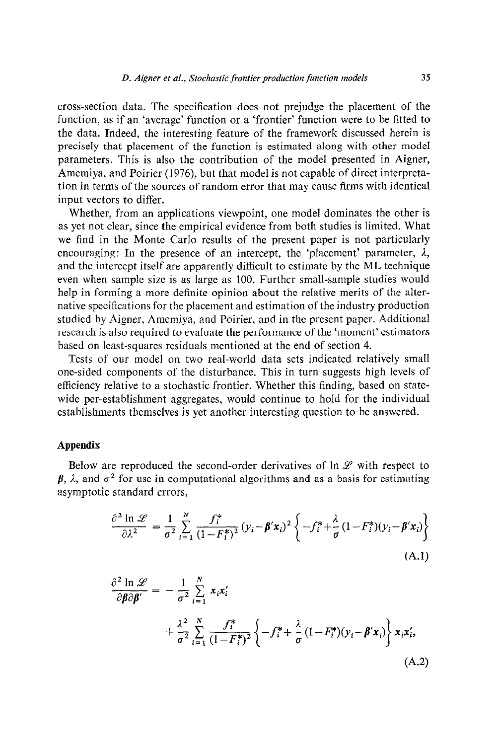cross-section data. The specification does not prejudge the placement of the function, as if an 'average' function or a 'frontier' function were to be fitted to the data. Indeed, the interesting feature of the framework discussed herein is precisely that placement of the function is estimated along with other model parameters. This is also the contribution of the model presented in Aigner, Amemiya, and Poirier (1976), but that model is not capable of direct interpretation in terms of the sources of random error that may cause firms with identical input vectors to differ.

Whether, from an applications viewpoint, one model dominates the other is as yet not clear, since the empirical evidence from both studies is limited. What we find in the Monte Carlo results of the present paper is not particularly encouraging: In the presence of an intercept, the 'placement' parameter,  $\lambda$ , and the intercept itself are apparently difficult to estimate by the ML technique even when sample size is as large as 100. Further small-sample studies would help in forming a more definite opinion about the relative merits of the alternative specifications for the placement and estimation of the industry production studied by Aigner, Amemiya, and Poirier, and in the present paper. Additional research is also required to evaluate the performance of the 'moment' estimators based on least-squares residuals mentioned at the end of section 4.

Tests of our model on two real-world data sets indicated relatively small one-sided components of the disturbance. This in turn suggests high levels of efficiency relative to a stochastic frontier. Whether this finding, based on statewide per-establishment aggregates, would continue to hold for the individual establishments themselves is yet another interesting question to be answered.

### Appendix

Below are reproduced the second-order derivatives of  $\ln \mathcal{L}$  with respect to  $\beta$ ,  $\lambda$ , and  $\sigma^2$  for use in computational algorithms and as a basis for estimating asymptotic standard errors,

$$
\frac{\partial^2 \ln \mathscr{L}}{\partial \lambda^2} = \frac{1}{\sigma^2} \sum_{i=1}^N \frac{f_i^*}{(1 - F_i^*)^2} (y_i - \beta' x_i)^2 \left\{ -f_i^* + \frac{\lambda}{\sigma} (1 - F_i^*)(y_i - \beta' x_i) \right\}
$$
\n(A.1)

$$
\frac{\partial^2 \ln \mathscr{L}}{\partial \beta \partial \beta'} = -\frac{1}{\sigma^2} \sum_{i=1}^N x_i x_i' \n+ \frac{\lambda^2}{\sigma^2} \sum_{i=1}^N \frac{f_i^*}{(1 - F_i^*)^2} \left\{ -f_i^* + \frac{\lambda}{\sigma} (1 - F_i^*)(y_i - \beta' x_i) \right\} x_i x_i',
$$
\n(A.2)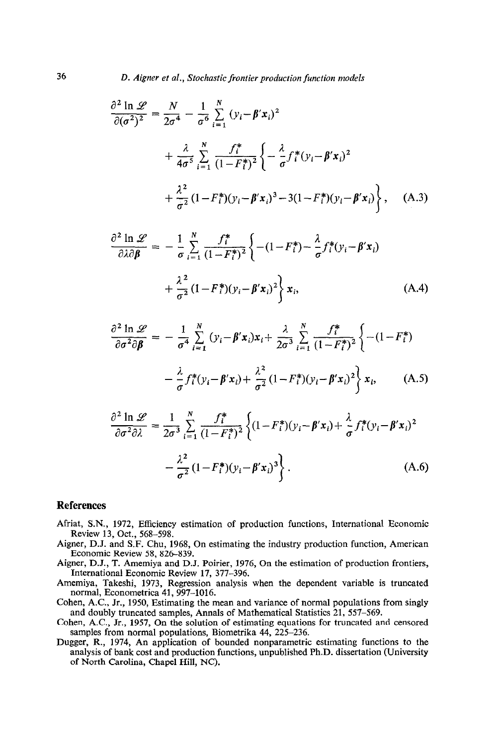$$
\frac{\partial^2 \ln \mathscr{L}}{\partial (\sigma^2)^2} = \frac{N}{2\sigma^4} - \frac{1}{\sigma^6} \sum_{i=1}^N (y_i - \beta' x_i)^2 \n+ \frac{\lambda}{4\sigma^5} \sum_{i=1}^N \frac{f_i^*}{(1 - F_i^*)^2} \left\{ - \frac{\lambda}{\sigma} f_i^* (y_i - \beta' x_i)^2 \n+ \frac{\lambda^2}{\sigma^2} (1 - F_i^*)(y_i - \beta' x_i)^3 - 3(1 - F_i^*)(y_i - \beta' x_i) \right\}, \quad (A.3)
$$

$$
\frac{\partial^2 \ln \mathscr{L}}{\partial \lambda \partial \beta} = -\frac{1}{\sigma} \sum_{i=1}^N \frac{f_i^*}{(1 - F_i^*)^2} \left\{ -(1 - F_i^*) - \frac{\lambda}{\sigma} f_i^* (y_i - \beta' x_i) + \frac{\lambda^2}{\sigma^2} (1 - F_i^*) (y_i - \beta' x_i)^2 \right\} x_i,
$$
\n(A.4)

$$
\frac{\partial^2 \ln \mathscr{L}}{\partial \sigma^2 \partial \beta} = -\frac{1}{\sigma^4} \sum_{i=1}^N (y_i - \beta' x_i) x_i + \frac{\lambda}{2\sigma^3} \sum_{i=1}^N \frac{f_i^*}{(1 - F_i^*)^2} \left\{ -(1 - F_i^*)
$$

$$
- \frac{\lambda}{\sigma} f_i^* (y_i - \beta' x_i) + \frac{\lambda^2}{\sigma^2} (1 - F_i^*) (y_i - \beta' x_i)^2 \right\} x_i, \qquad (A.5)
$$

$$
\frac{\partial^2 \ln \mathscr{L}}{\partial \sigma^2 \partial \lambda} = \frac{1}{2\sigma^3} \sum_{i=1}^N \frac{f_i^*}{(1 - F_i^*)^2} \left\{ (1 - F_i^*)(y_i - \beta' x_i) + \frac{\lambda}{\sigma} f_i^*(y_i - \beta' x_i)^2 - \frac{\lambda^2}{\sigma^2} (1 - F_i^*)(y_i - \beta' x_i)^3 \right\}.
$$
\n(A.6)

#### **References**

- Afriat, S.N., 1972, Efficiency estimation of production functions, International Economic Review 13, Oct., 568-598.
- Aigner, D.J. and S.F. Chu, 1968, On estimating the industry production function, American Economic Review 58, 826-839.
- Aigner, D.J., T. Amemiya and D.J. Poirier, 1976, On the estimation of production frontiers, International Economic Review 17, 377-396.
- Amemiya, Takeshi, 1973, Regression analysis when the dependent variable is truncated normal, Econometrica 41, 997-1016.
- Cohen, A.C., Jr., 1950, Estimating the mean and variance of normal populations from singly and doubly truncated samples, Annals of Mathematical Statistics 21. 557-569.
- Cohen, A.C., Jr., 1957, On the solution of estimating equations for truncated and censored samples from normal populations, Biometrika 44, 225-236.
- Dugger, R., 1974, An application of bounded nonparametric estimating functions to the analysis of bank cost and production functions, unpublished Ph.D. dissertation (University of North Carolina, Chapel Hill, NC).